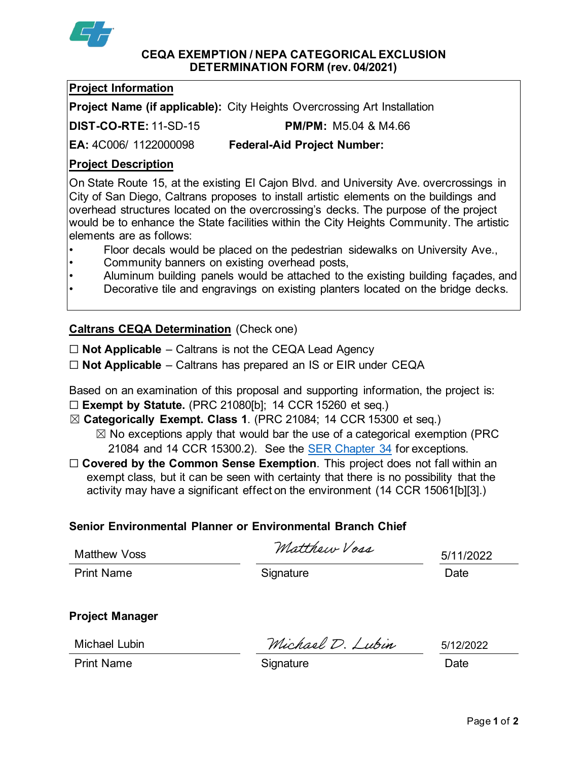

#### **CEQA EXEMPTION / NEPA CATEGORICAL EXCLUSION DETERMINATION FORM (rev. 04/2021)**

### **Project Information**

**Project Name (if applicable):** City Heights Overcrossing Art Installation

**DIST-CO-RTE:** 11-SD-15 **PM/PM:** M5.04 & M4.66

**EA:** 4C006/ 1122000098 **Federal-Aid Project Number:**

## **Project Description**

On State Route 15, at the existing El Cajon Blvd. and University Ave. overcrossings in City of San Diego, Caltrans proposes to install artistic elements on the buildings and overhead structures located on the overcrossing's decks. The purpose of the project would be to enhance the State facilities within the City Heights Community. The artistic elements are as follows:

- Floor decals would be placed on the pedestrian sidewalks on University Ave.,
- Community banners on existing overhead posts,
- Aluminum building panels would be attached to the existing building façades, and

Decorative tile and engravings on existing planters located on the bridge decks.

# **Caltrans CEQA Determination** (Check one)

☐ **Not Applicable** – Caltrans is not the CEQA Lead Agency

☐ **Not Applicable** – Caltrans has prepared an IS or EIR under CEQA

Based on an examination of this proposal and supporting information, the project is: ☐ **Exempt by Statute.** (PRC 21080[b]; 14 CCR 15260 et seq.)

☒ **Categorically Exempt. Class 1**. (PRC 21084; 14 CCR 15300 et seq.)

 $\boxtimes$  No exceptions apply that would bar the use of a categorical exemption (PRC 21084 and 14 CCR 15300.2). See the [SER Chapter 34](https://dot.ca.gov/programs/environmental-analysis/standard-environmental-reference-ser/volume-1-guidance-for-compliance/ch-34-exemptions-to-ceqa#except) for exceptions.

□ **Covered by the Common Sense Exemption**. This project does not fall within an exempt class, but it can be seen with certainty that there is no possibility that the activity may have a significant effect on the environment (14 CCR 15061[b][3].)

## **Senior Environmental Planner or Environmental Branch Chief**

Matthown Vors

Matthew Voss

Print Name **Signature Date CONS** 

5/11/2022

**Project Manager**

Michael Lubin

Michael D. Lubin

5/12/2022

Print Name **Signature Signature Signature Signature Date**